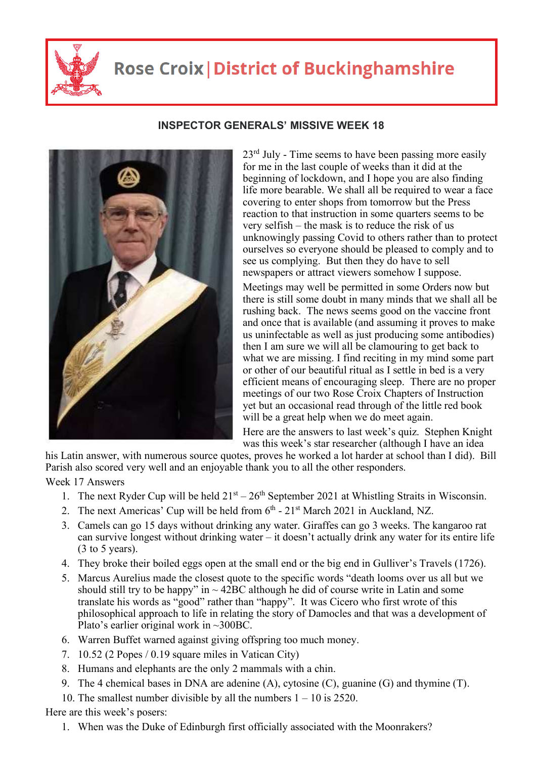

## **Rose Croix | District of Buckinghamshire**



## **INSPECTOR GENERALS' MISSIVE WEEK 18**

 $23<sup>rd</sup>$  July - Time seems to have been passing more easily for me in the last couple of weeks than it did at the beginning of lockdown, and I hope you are also finding life more bearable. We shall all be required to wear a face covering to enter shops from tomorrow but the Press reaction to that instruction in some quarters seems to be very selfish – the mask is to reduce the risk of us unknowingly passing Covid to others rather than to protect ourselves so everyone should be pleased to comply and to see us complying. But then they do have to sell newspapers or attract viewers somehow I suppose. Meetings may well be permitted in some Orders now but there is still some doubt in many minds that we shall all be rushing back. The news seems good on the vaccine front and once that is available (and assuming it proves to make us uninfectable as well as just producing some antibodies) then I am sure we will all be clamouring to get back to what we are missing. I find reciting in my mind some part or other of our beautiful ritual as I settle in bed is a very efficient means of encouraging sleep. There are no proper meetings of our two Rose Croix Chapters of Instruction yet but an occasional read through of the little red book will be a great help when we do meet again.

Here are the answers to last week's quiz. Stephen Knight was this week's star researcher (although I have an idea

his Latin answer, with numerous source quotes, proves he worked a lot harder at school than I did). Bill Parish also scored very well and an enjoyable thank you to all the other responders. Week 17 Answers

- 1. The next Ryder Cup will be held  $21<sup>st</sup> 26<sup>th</sup>$  September 2021 at Whistling Straits in Wisconsin.
- 2. The next Americas' Cup will be held from  $6<sup>th</sup>$  21<sup>st</sup> March 2021 in Auckland, NZ.
- 3. Camels can go 15 days without drinking any water. Giraffes can go 3 weeks. The kangaroo rat can survive longest without drinking water – it doesn't actually drink any water for its entire life (3 to 5 years).
- 4. They broke their boiled eggs open at the small end or the big end in Gulliver's Travels (1726).
- 5. Marcus Aurelius made the closest quote to the specific words "death looms over us all but we should still try to be happy" in  $\sim$  42BC although he did of course write in Latin and some translate his words as "good" rather than "happy". It was Cicero who first wrote of this philosophical approach to life in relating the story of Damocles and that was a development of Plato's earlier original work in ~300BC.
- 6. Warren Buffet warned against giving offspring too much money.
- 7. 10.52 (2 Popes / 0.19 square miles in Vatican City)
- 8. Humans and elephants are the only 2 mammals with a chin.
- 9. The 4 chemical bases in DNA are adenine (A), cytosine (C), guanine (G) and thymine (T) .
- 10. The smallest number divisible by all the numbers 1 10 is 2520.

Here are this week's posers:

1. When was the Duke of Edinburgh first officially associated with the Moonrakers?